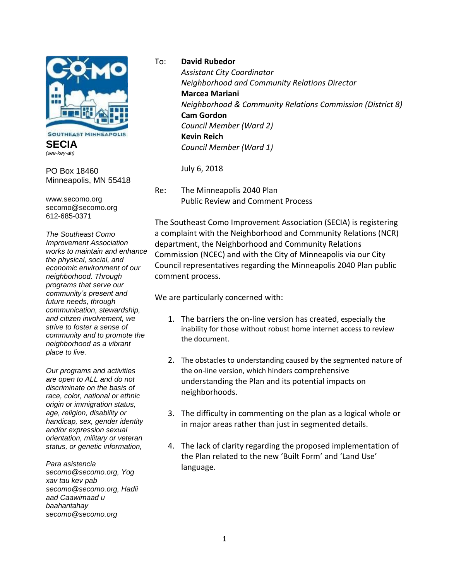

**SECIA** *(see-key-ah)*

PO Box 18460 Minneapolis, MN 55418

www.secomo.org secomo@secomo.org 612-685-0371

*The Southeast Como Improvement Association works to maintain and enhance the physical, social, and economic environment of our neighborhood. Through programs that serve our community's present and future needs, through communication, stewardship, and citizen involvement, we strive to foster a sense of community and to promote the neighborhood as a vibrant place to live.*

*Our programs and activities are open to ALL and do not discriminate on the basis of race, color, national or ethnic origin or immigration status, age, religion, disability or handicap, sex, gender identity and/or expression sexual orientation, military or veteran status, or genetic information,*

*Para asistencia secomo@secomo.org, Yog xav tau kev pab secomo@secomo.org, Hadii aad Caawimaad u baahantahay secomo@secomo.org*

To: **David Rubedor**

*Assistant City Coordinator Neighborhood and Community Relations Director* **Marcea Mariani** *Neighborhood & Community Relations Commission (District 8)* **Cam Gordon** *Council Member (Ward 2)* **Kevin Reich** *Council Member (Ward 1)*

July 6, 2018

Re: The Minneapolis 2040 Plan Public Review and Comment Process

The Southeast Como Improvement Association (SECIA) is registering a complaint with the Neighborhood and Community Relations (NCR) department, the Neighborhood and Community Relations Commission (NCEC) and with the City of Minneapolis via our City Council representatives regarding the Minneapolis 2040 Plan public comment process.

We are particularly concerned with:

- 1. The barriers the on-line version has created, especially the inability for those without robust home internet access to review the document.
- 2. The obstacles to understanding caused by the segmented nature of the on-line version, which hinders comprehensive understanding the Plan and its potential impacts on neighborhoods.
- 3. The difficulty in commenting on the plan as a logical whole or in major areas rather than just in segmented details.
- 4. The lack of clarity regarding the proposed implementation of the Plan related to the new 'Built Form' and 'Land Use' language.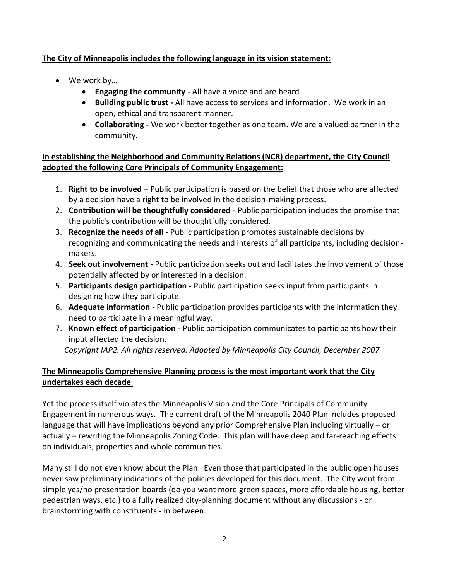## **The City of Minneapolis includes the following language in its vision statement:**

- We work by…
	- **Engaging the community -** All have a voice and are heard
	- **Building public trust -** All have access to services and information. We work in an open, ethical and transparent manner.
	- **Collaborating -** We work better together as one team. We are a valued partner in the community.

# **In establishing the Neighborhood and Community Relations (NCR) department, the City Council adopted the following Core Principals of Community Engagement:**

- 1. **Right to be involved** Public participation is based on the belief that those who are affected by a decision have a right to be involved in the decision-making process.
- 2. **Contribution will be thoughtfully considered** Public participation includes the promise that the public's contribution will be thoughtfully considered.
- 3. **Recognize the needs of all** Public participation promotes sustainable decisions by recognizing and communicating the needs and interests of all participants, including decisionmakers.
- 4. **Seek out involvement** Public participation seeks out and facilitates the involvement of those potentially affected by or interested in a decision.
- 5. **Participants design participation** Public participation seeks input from participants in designing how they participate.
- 6. **Adequate information** Public participation provides participants with the information they need to participate in a meaningful way.
- 7. **Known effect of participation** Public participation communicates to participants how their input affected the decision.

*Copyright IAP2. All rights reserved. Adopted by Minneapolis City Council, December 2007*

# **The Minneapolis Comprehensive Planning process is the most important work that the City undertakes each decade**.

Yet the process itself violates the Minneapolis Vision and the Core Principals of Community Engagement in numerous ways. The current draft of the Minneapolis 2040 Plan includes proposed language that will have implications beyond any prior Comprehensive Plan including virtually – or actually – rewriting the Minneapolis Zoning Code. This plan will have deep and far-reaching effects on individuals, properties and whole communities.

Many still do not even know about the Plan. Even those that participated in the public open houses never saw preliminary indications of the policies developed for this document. The City went from simple yes/no presentation boards (do you want more green spaces, more affordable housing, better pedestrian ways, etc.) to a fully realized city-planning document without any discussions - or brainstorming with constituents - in between.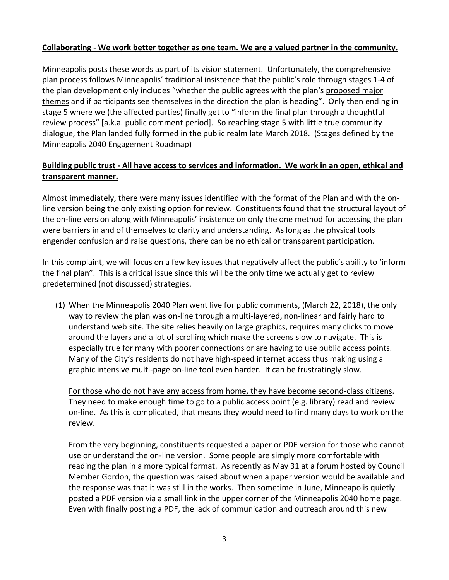### **Collaborating - We work better together as one team. We are a valued partner in the community.**

Minneapolis posts these words as part of its vision statement. Unfortunately, the comprehensive plan process follows Minneapolis' traditional insistence that the public's role through stages 1-4 of the plan development only includes "whether the public agrees with the plan's proposed major themes and if participants see themselves in the direction the plan is heading". Only then ending in stage 5 where we (the affected parties) finally get to "inform the final plan through a thoughtful review process" [a.k.a. public comment period]. So reaching stage 5 with little true community dialogue, the Plan landed fully formed in the public realm late March 2018. (Stages defined by the Minneapolis 2040 Engagement Roadmap)

### **Building public trust - All have access to services and information. We work in an open, ethical and transparent manner.**

Almost immediately, there were many issues identified with the format of the Plan and with the online version being the only existing option for review. Constituents found that the structural layout of the on-line version along with Minneapolis' insistence on only the one method for accessing the plan were barriers in and of themselves to clarity and understanding. As long as the physical tools engender confusion and raise questions, there can be no ethical or transparent participation.

In this complaint, we will focus on a few key issues that negatively affect the public's ability to 'inform the final plan". This is a critical issue since this will be the only time we actually get to review predetermined (not discussed) strategies.

(1) When the Minneapolis 2040 Plan went live for public comments, (March 22, 2018), the only way to review the plan was on-line through a multi-layered, non-linear and fairly hard to understand web site. The site relies heavily on large graphics, requires many clicks to move around the layers and a lot of scrolling which make the screens slow to navigate. This is especially true for many with poorer connections or are having to use public access points. Many of the City's residents do not have high-speed internet access thus making using a graphic intensive multi-page on-line tool even harder. It can be frustratingly slow.

For those who do not have any access from home, they have become second-class citizens. They need to make enough time to go to a public access point (e.g. library) read and review on-line. As this is complicated, that means they would need to find many days to work on the review.

From the very beginning, constituents requested a paper or PDF version for those who cannot use or understand the on-line version. Some people are simply more comfortable with reading the plan in a more typical format. As recently as May 31 at a forum hosted by Council Member Gordon, the question was raised about when a paper version would be available and the response was that it was still in the works. Then sometime in June, Minneapolis quietly posted a PDF version via a small link in the upper corner of the Minneapolis 2040 home page. Even with finally posting a PDF, the lack of communication and outreach around this new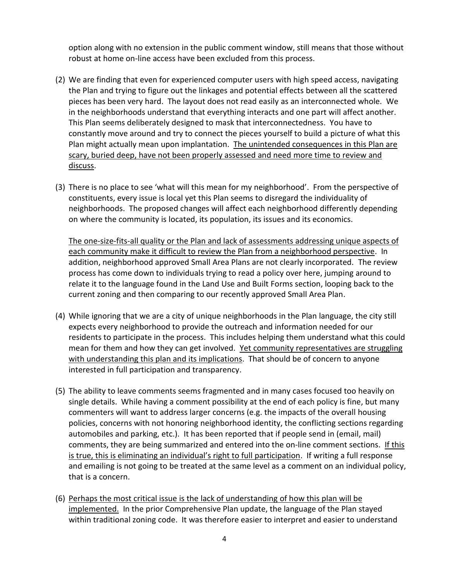option along with no extension in the public comment window, still means that those without robust at home on-line access have been excluded from this process.

- (2) We are finding that even for experienced computer users with high speed access, navigating the Plan and trying to figure out the linkages and potential effects between all the scattered pieces has been very hard. The layout does not read easily as an interconnected whole. We in the neighborhoods understand that everything interacts and one part will affect another. This Plan seems deliberately designed to mask that interconnectedness. You have to constantly move around and try to connect the pieces yourself to build a picture of what this Plan might actually mean upon implantation. The unintended consequences in this Plan are scary, buried deep, have not been properly assessed and need more time to review and discuss.
- (3) There is no place to see 'what will this mean for my neighborhood'. From the perspective of constituents, every issue is local yet this Plan seems to disregard the individuality of neighborhoods. The proposed changes will affect each neighborhood differently depending on where the community is located, its population, its issues and its economics.

The one-size-fits-all quality or the Plan and lack of assessments addressing unique aspects of each community make it difficult to review the Plan from a neighborhood perspective. In addition, neighborhood approved Small Area Plans are not clearly incorporated. The review process has come down to individuals trying to read a policy over here, jumping around to relate it to the language found in the Land Use and Built Forms section, looping back to the current zoning and then comparing to our recently approved Small Area Plan.

- (4) While ignoring that we are a city of unique neighborhoods in the Plan language, the city still expects every neighborhood to provide the outreach and information needed for our residents to participate in the process. This includes helping them understand what this could mean for them and how they can get involved. Yet community representatives are struggling with understanding this plan and its implications. That should be of concern to anyone interested in full participation and transparency.
- (5) The ability to leave comments seems fragmented and in many cases focused too heavily on single details. While having a comment possibility at the end of each policy is fine, but many commenters will want to address larger concerns (e.g. the impacts of the overall housing policies, concerns with not honoring neighborhood identity, the conflicting sections regarding automobiles and parking, etc.). It has been reported that if people send in (email, mail) comments, they are being summarized and entered into the on-line comment sections. If this is true, this is eliminating an individual's right to full participation. If writing a full response and emailing is not going to be treated at the same level as a comment on an individual policy, that is a concern.
- (6) Perhaps the most critical issue is the lack of understanding of how this plan will be implemented. In the prior Comprehensive Plan update, the language of the Plan stayed within traditional zoning code. It was therefore easier to interpret and easier to understand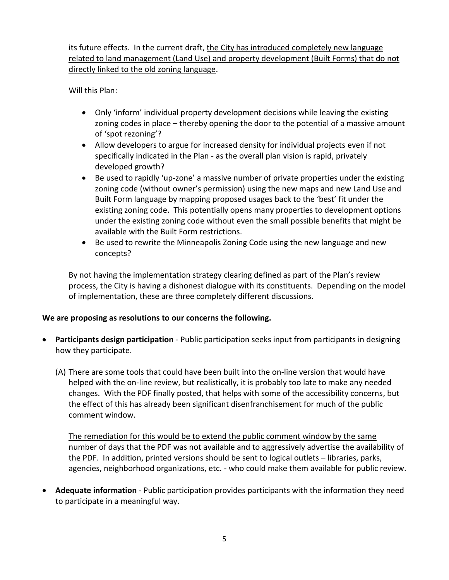its future effects. In the current draft, the City has introduced completely new language related to land management (Land Use) and property development (Built Forms) that do not directly linked to the old zoning language.

Will this Plan:

- Only 'inform' individual property development decisions while leaving the existing zoning codes in place – thereby opening the door to the potential of a massive amount of 'spot rezoning'?
- Allow developers to argue for increased density for individual projects even if not specifically indicated in the Plan - as the overall plan vision is rapid, privately developed growth?
- Be used to rapidly 'up-zone' a massive number of private properties under the existing zoning code (without owner's permission) using the new maps and new Land Use and Built Form language by mapping proposed usages back to the 'best' fit under the existing zoning code. This potentially opens many properties to development options under the existing zoning code without even the small possible benefits that might be available with the Built Form restrictions.
- Be used to rewrite the Minneapolis Zoning Code using the new language and new concepts?

By not having the implementation strategy clearing defined as part of the Plan's review process, the City is having a dishonest dialogue with its constituents. Depending on the model of implementation, these are three completely different discussions.

### **We are proposing as resolutions to our concerns the following.**

- **Participants design participation** Public participation seeks input from participants in designing how they participate.
	- (A) There are some tools that could have been built into the on-line version that would have helped with the on-line review, but realistically, it is probably too late to make any needed changes. With the PDF finally posted, that helps with some of the accessibility concerns, but the effect of this has already been significant disenfranchisement for much of the public comment window.

The remediation for this would be to extend the public comment window by the same number of days that the PDF was not available and to aggressively advertise the availability of the PDF. In addition, printed versions should be sent to logical outlets – libraries, parks, agencies, neighborhood organizations, etc. - who could make them available for public review.

 **Adequate information** - Public participation provides participants with the information they need to participate in a meaningful way.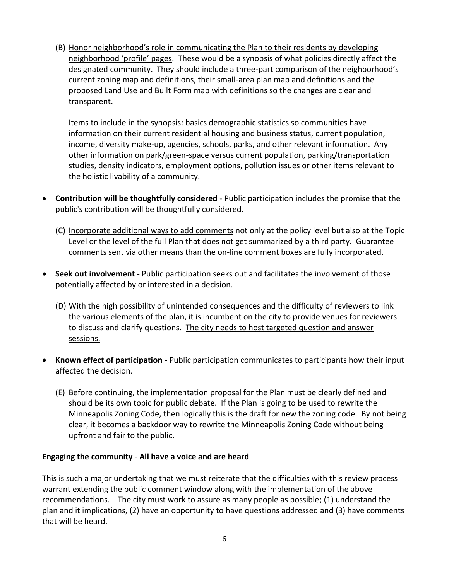(B) Honor neighborhood's role in communicating the Plan to their residents by developing neighborhood 'profile' pages. These would be a synopsis of what policies directly affect the designated community. They should include a three-part comparison of the neighborhood's current zoning map and definitions, their small-area plan map and definitions and the proposed Land Use and Built Form map with definitions so the changes are clear and transparent.

Items to include in the synopsis: basics demographic statistics so communities have information on their current residential housing and business status, current population, income, diversity make-up, agencies, schools, parks, and other relevant information. Any other information on park/green-space versus current population, parking/transportation studies, density indicators, employment options, pollution issues or other items relevant to the holistic livability of a community.

- **Contribution will be thoughtfully considered** Public participation includes the promise that the public's contribution will be thoughtfully considered.
	- (C) Incorporate additional ways to add comments not only at the policy level but also at the Topic Level or the level of the full Plan that does not get summarized by a third party. Guarantee comments sent via other means than the on-line comment boxes are fully incorporated.
- **Seek out involvement** Public participation seeks out and facilitates the involvement of those potentially affected by or interested in a decision.
	- (D) With the high possibility of unintended consequences and the difficulty of reviewers to link the various elements of the plan, it is incumbent on the city to provide venues for reviewers to discuss and clarify questions. The city needs to host targeted question and answer sessions.
- **Known effect of participation** Public participation communicates to participants how their input affected the decision.
	- (E) Before continuing, the implementation proposal for the Plan must be clearly defined and should be its own topic for public debate. If the Plan is going to be used to rewrite the Minneapolis Zoning Code, then logically this is the draft for new the zoning code. By not being clear, it becomes a backdoor way to rewrite the Minneapolis Zoning Code without being upfront and fair to the public.

### **Engaging the community** - **All have a voice and are heard**

This is such a major undertaking that we must reiterate that the difficulties with this review process warrant extending the public comment window along with the implementation of the above recommendations. The city must work to assure as many people as possible; (1) understand the plan and it implications, (2) have an opportunity to have questions addressed and (3) have comments that will be heard.